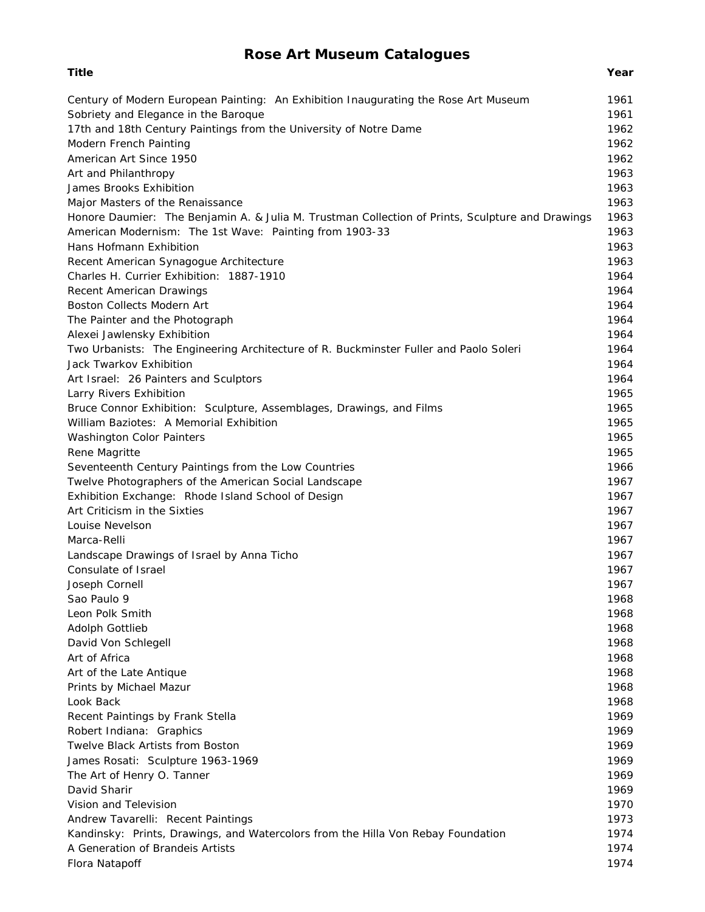# **Rose Art Museum Catalogues**

| Century of Modern European Painting: An Exhibition Inaugurating the Rose Art Museum              | 1961         |
|--------------------------------------------------------------------------------------------------|--------------|
| Sobriety and Elegance in the Baroque                                                             | 1961         |
| 17th and 18th Century Paintings from the University of Notre Dame                                | 1962         |
| Modern French Painting                                                                           | 1962         |
| American Art Since 1950                                                                          | 1962         |
| Art and Philanthropy                                                                             | 1963         |
| James Brooks Exhibition                                                                          | 1963         |
| Major Masters of the Renaissance                                                                 | 1963         |
| Honore Daumier: The Benjamin A. & Julia M. Trustman Collection of Prints, Sculpture and Drawings | 1963<br>1963 |
| American Modernism: The 1st Wave: Painting from 1903-33<br>Hans Hofmann Exhibition               | 1963         |
| Recent American Synagogue Architecture                                                           | 1963         |
| Charles H. Currier Exhibition: 1887-1910                                                         | 1964         |
| Recent American Drawings                                                                         | 1964         |
| Boston Collects Modern Art                                                                       | 1964         |
| The Painter and the Photograph                                                                   | 1964         |
| Alexei Jawlensky Exhibition                                                                      | 1964         |
| Two Urbanists: The Engineering Architecture of R. Buckminster Fuller and Paolo Soleri            | 1964         |
| Jack Twarkov Exhibition                                                                          | 1964         |
| Art Israel: 26 Painters and Sculptors                                                            | 1964         |
| Larry Rivers Exhibition                                                                          | 1965         |
| Bruce Connor Exhibition: Sculpture, Assemblages, Drawings, and Films                             | 1965         |
| William Baziotes: A Memorial Exhibition                                                          | 1965         |
| <b>Washington Color Painters</b>                                                                 | 1965         |
| Rene Magritte                                                                                    | 1965         |
| Seventeenth Century Paintings from the Low Countries                                             | 1966         |
| Twelve Photographers of the American Social Landscape                                            | 1967         |
| Exhibition Exchange: Rhode Island School of Design                                               | 1967         |
| Art Criticism in the Sixties                                                                     | 1967         |
| Louise Nevelson                                                                                  | 1967         |
| Marca-Relli                                                                                      | 1967         |
| Landscape Drawings of Israel by Anna Ticho                                                       | 1967         |
| Consulate of Israel                                                                              | 1967         |
| Joseph Cornell                                                                                   | 1967         |
| Sao Paulo 9                                                                                      | 1968         |
| Leon Polk Smith                                                                                  | 1968         |
| Adolph Gottlieb                                                                                  | 1968         |
| David Von Schlegell                                                                              | 1968         |
| Art of Africa                                                                                    | 1968         |
| Art of the Late Antique                                                                          | 1968         |
| Prints by Michael Mazur                                                                          | 1968         |
| Look Back                                                                                        | 1968         |
| Recent Paintings by Frank Stella                                                                 | 1969         |
| Robert Indiana: Graphics                                                                         | 1969         |
| Twelve Black Artists from Boston                                                                 | 1969         |
| James Rosati: Sculpture 1963-1969                                                                | 1969         |
| The Art of Henry O. Tanner                                                                       | 1969         |
| David Sharir                                                                                     | 1969         |
| Vision and Television                                                                            | 1970         |
| Andrew Tavarelli: Recent Paintings                                                               | 1973         |
| Kandinsky: Prints, Drawings, and Watercolors from the Hilla Von Rebay Foundation                 | 1974         |
| A Generation of Brandeis Artists                                                                 | 1974         |
| Flora Natapoff                                                                                   | 1974         |

## **Title Year**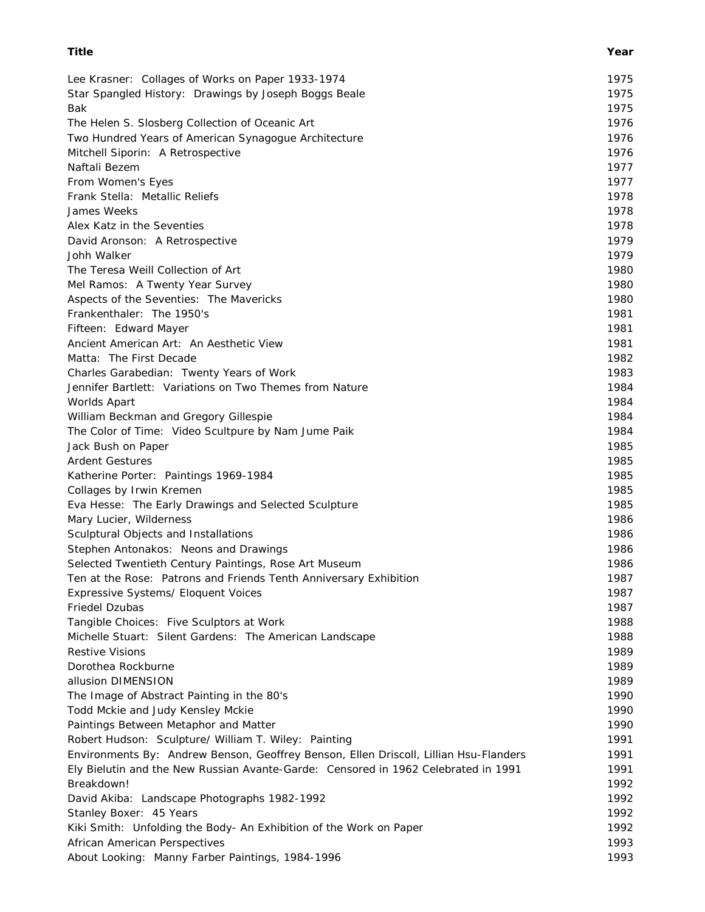| Lee Krasner: Collages of Works on Paper 1933-1974                                                | 1975         |
|--------------------------------------------------------------------------------------------------|--------------|
| Star Spangled History: Drawings by Joseph Boggs Beale                                            | 1975         |
| Bak                                                                                              | 1975         |
| The Helen S. Slosberg Collection of Oceanic Art                                                  | 1976         |
| Two Hundred Years of American Synagogue Architecture                                             | 1976         |
| Mitchell Siporin: A Retrospective                                                                | 1976         |
| Naftali Bezem                                                                                    | 1977         |
| From Women's Eyes                                                                                | 1977         |
| Frank Stella: Metallic Reliefs                                                                   | 1978         |
| James Weeks                                                                                      | 1978         |
| Alex Katz in the Seventies                                                                       | 1978         |
| David Aronson: A Retrospective                                                                   | 1979         |
| Johh Walker                                                                                      | 1979         |
| The Teresa Weill Collection of Art                                                               | 1980         |
| Mel Ramos: A Twenty Year Survey                                                                  | 1980         |
| Aspects of the Seventies: The Mavericks                                                          | 1980         |
| Frankenthaler: The 1950's                                                                        | 1981         |
| Fifteen: Edward Mayer                                                                            | 1981         |
| Ancient American Art: An Aesthetic View                                                          | 1981         |
| Matta: The First Decade                                                                          | 1982         |
| Charles Garabedian: Twenty Years of Work                                                         | 1983         |
| Jennifer Bartlett: Variations on Two Themes from Nature                                          | 1984         |
| Worlds Apart                                                                                     | 1984         |
| William Beckman and Gregory Gillespie                                                            | 1984         |
| The Color of Time: Video Scultpure by Nam Jume Paik                                              | 1984         |
| Jack Bush on Paper                                                                               | 1985         |
| <b>Ardent Gestures</b>                                                                           | 1985         |
| Katherine Porter: Paintings 1969-1984                                                            | 1985         |
| Collages by Irwin Kremen                                                                         | 1985         |
| Eva Hesse: The Early Drawings and Selected Sculpture                                             | 1985         |
| Mary Lucier, Wilderness                                                                          | 1986         |
| Sculptural Objects and Installations                                                             | 1986         |
| Stephen Antonakos: Neons and Drawings                                                            | 1986         |
| Selected Twentieth Century Paintings, Rose Art Museum                                            | 1986         |
| Ten at the Rose: Patrons and Friends Tenth Anniversary Exhibition                                | 1987         |
| Expressive Systems/ Eloquent Voices                                                              | 1987         |
| Friedel Dzubas                                                                                   | 1987         |
| Tangible Choices: Five Sculptors at Work                                                         | 1988         |
| Michelle Stuart: Silent Gardens: The American Landscape<br><b>Restive Visions</b>                | 1988         |
|                                                                                                  | 1989         |
| Dorothea Rockburne                                                                               | 1989         |
| allusion DIMENSION<br>The Image of Abstract Painting in the 80's                                 | 1989<br>1990 |
| Todd Mckie and Judy Kensley Mckie                                                                | 1990         |
|                                                                                                  | 1990         |
| Paintings Between Metaphor and Matter<br>Robert Hudson: Sculpture/ William T. Wiley: Painting    | 1991         |
| Environments By: Andrew Benson, Geoffrey Benson, Ellen Driscoll, Lillian Hsu-Flanders            | 1991         |
|                                                                                                  |              |
| Ely Bielutin and the New Russian Avante-Garde: Censored in 1962 Celebrated in 1991<br>Breakdown! | 1991<br>1992 |
| David Akiba: Landscape Photographs 1982-1992                                                     | 1992         |
| Stanley Boxer: 45 Years                                                                          | 1992         |
| Kiki Smith: Unfolding the Body- An Exhibition of the Work on Paper                               | 1992         |
| African American Perspectives                                                                    | 1993         |
| About Looking: Manny Farber Paintings, 1984-1996                                                 | 1993         |
|                                                                                                  |              |